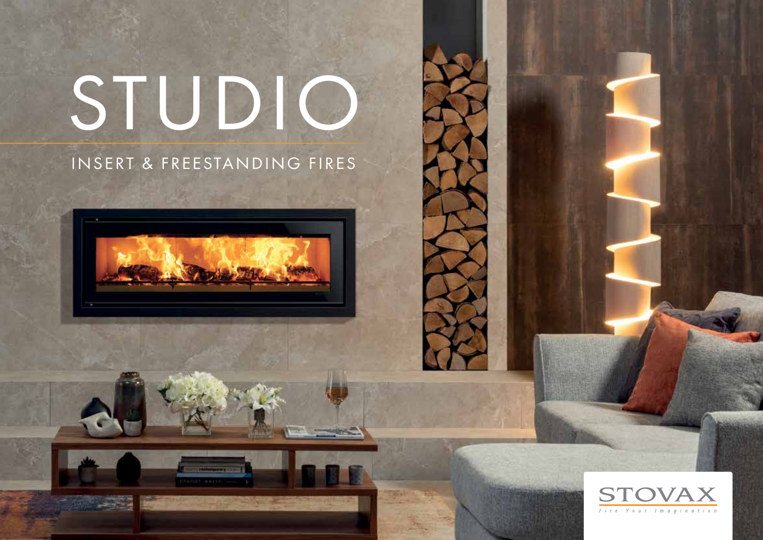# STUDIO

### INSERT & FREESTANDING FIRES





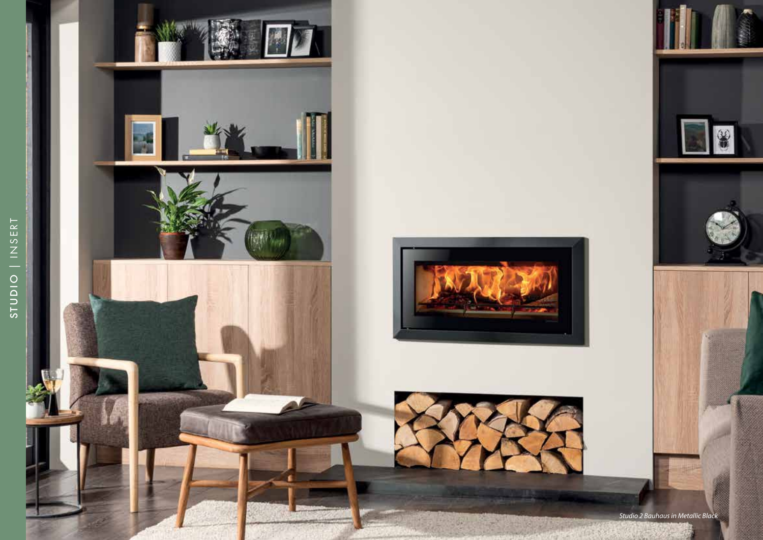





*Studio 2 Bauhaus in Metallic Black*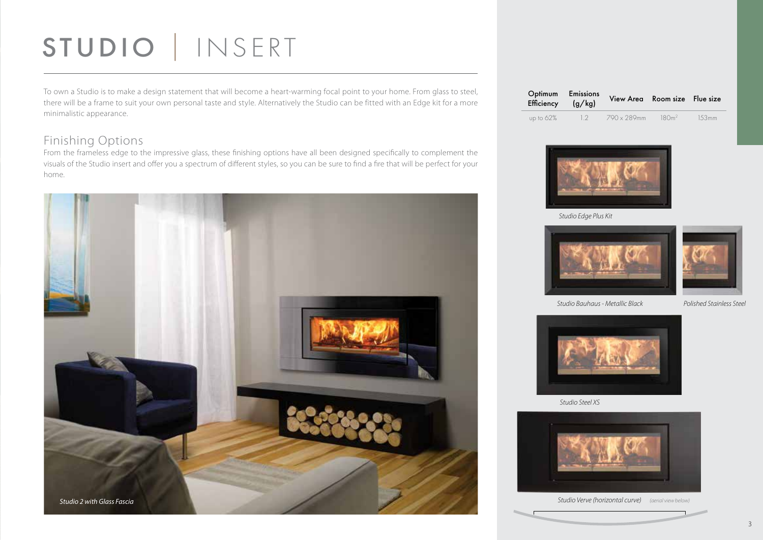## STUDIO | INSERT

To own a Studio is to make a design statement that will become a heart-warming focal point to your home. From glass to steel, there will be a frame to suit your own personal taste and style. Alternatively the Studio can be fitted with an Edge kit for a more minimalistic appearance.

#### Finishing Options

From the frameless edge to the impressive glass, these finishing options have all been designed specifically to complement the visuals of the Studio insert and offer you a spectrum of different styles, so you can be sure to find a fire that will be perfect for your home.



| Efficiency $(g/kg)$ | Optimum Emissions | View Area Room size Flue size |           |       |
|---------------------|-------------------|-------------------------------|-----------|-------|
| up to $62\%$        | 12                | 790 x 289mm                   | $-180m^2$ | 153mm |



*Studio Edge Plus Kit*





*Studio Bauhaus - Metallic Black Polished Stainless Steel*



*Studio Steel XS*



*Studio Verve (horizontal curve) (aerial view below)*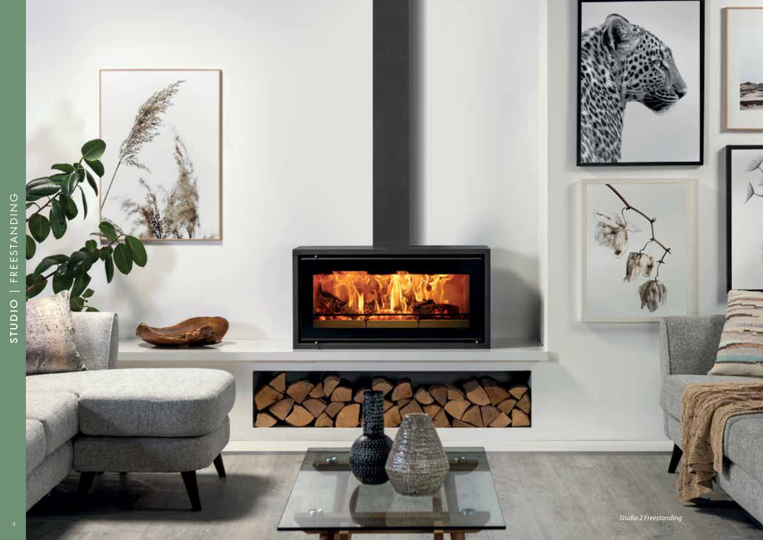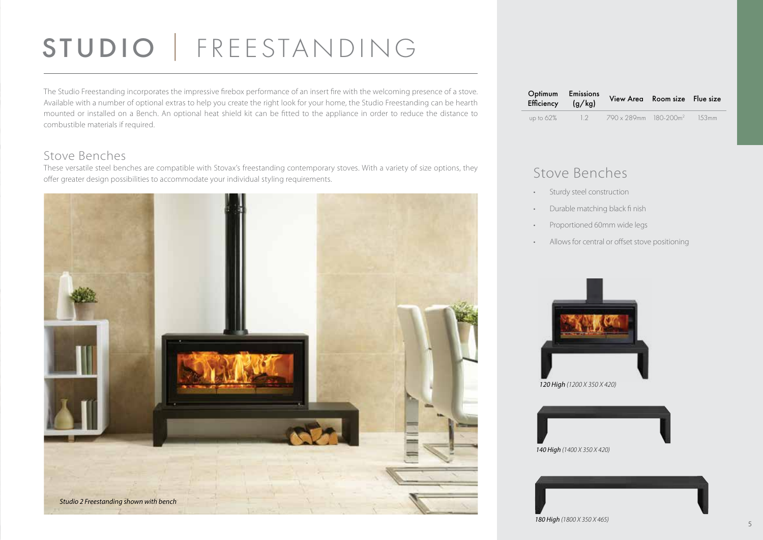## STUDIO | FREESTANDING

The Studio Freestanding incorporates the impressive firebox performance of an insert fire with the welcoming presence of a stove. Available with a number of optional extras to help you create the right look for your home, the Studio Freestanding can be hearth mounted or installed on a Bench. An optional heat shield kit can be fitted to the appliance in order to reduce the distance to combustible materials if required.

#### Stove Benches

These versatile steel benches are compatible with Stovax's freestanding contemporary stoves. With a variety of size options, they offer greater design possibilities to accommodate your individual styling requirements.



| Optimum Emissions<br>Efficiency $(g/kg)$ |    | View Area Room size Flue size     |       |
|------------------------------------------|----|-----------------------------------|-------|
| up to $62\%$                             | 12 | 790 x 289mm 180-200m <sup>2</sup> | 153mm |

#### Stove Benches

- Sturdy steel construction
- Durable matching black fi nish
- Proportioned 60mm wide legs
- Allows for central or offset stove positioning



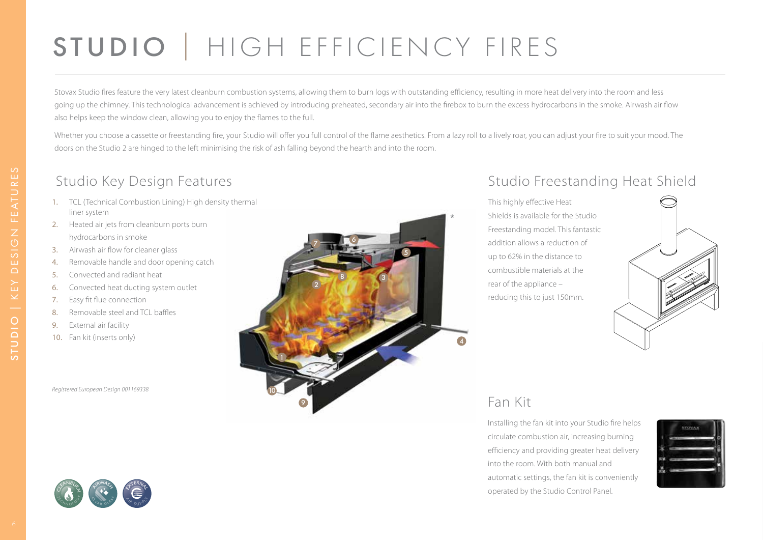## STUDIO | HIGH EFFICIENCY FIRES

Stovax Studio fires feature the very latest cleanburn combustion systems, allowing them to burn logs with outstanding efficiency, resulting in more heat delivery into the room and less going up the chimney. This technological advancement is achieved by introducing preheated, secondary air into the firebox to burn the excess hydrocarbons in the smoke. Airwash air flow also helps keep the window clean, allowing you to enjoy the flames to the full.

Whether you choose a cassette or freestanding fire, your Studio will offer you full control of the flame aesthetics. From a lazy roll to a lively roar, you can adjust your fire to suit your mood. The doors on the Studio 2 are hinged to the left minimising the risk of ash falling beyond the hearth and into the room.

#### Studio Key Design Features

- 1. TCL (Technical Combustion Lining) High density thermal liner system
- 2. Heated air jets from cleanburn ports burn hydrocarbons in smoke
- 3. Airwash air flow for cleaner glass
- 4. Removable handle and door opening catch
- 5. Convected and radiant heat
- 6. Convected heat ducting system outlet
- 7. Easy fit flue connection
- 8. Removable steel and TCL baffles
- 9. External air facility
- 10. Fan kit (inserts only)

*Registered European Design 001169338*



#### Studio Freestanding Heat Shield

This highly effective Heat Shields is available for the Studio Freestanding model. This fantastic addition allows a reduction of up to 62% in the distance to combustible materials at the rear of the appliance – reducing this to just 150mm.



#### Fan Kit

Installing the fan kit into your Studio fire helps circulate combustion air, increasing burning efficiency and providing greater heat delivery into the room. With both manual and automatic settings, the fan kit is conveniently operated by the Studio Control Panel.



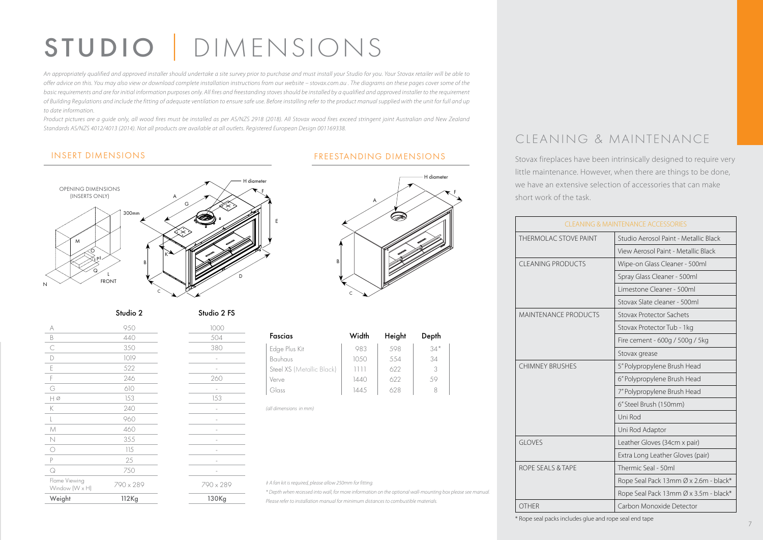## STUDIO | DIMENSIONS

*An appropriately qualified and approved installer should undertake a site survey prior to purchase and must install your Studio for you. Your Stovax retailer will be able to offer advice on this. You may also view or download complete installation instructions from our website – stovax.com.au . The diagrams on these pages cover some of the*  basic requirements and are for initial information purposes only. All fires and freestanding stoves should be installed by a qualified and approved installer to the requirement *of Building Regulations and include the fitting of adequate ventilation to ensure safe use. Before installing refer to the product manual supplied with the unit for full and up to date information.*

Product pictures are a quide only, all wood fires must be installed as per AS/NZS 2918 (2018). All Stovax wood fires exceed stringent joint Australian and New Zealand *Standards AS/NZS 4012/4013 (2014). Not all products are available at all outlets. Registered European Design 001169338.*



Studio 2 Studio 2 FS

| Weight                          | 112Kg     | 130Kg                    |
|---------------------------------|-----------|--------------------------|
| Flame Viewing<br>Window (W x H) | 790 x 289 | 790 x 289                |
| $\hbox{\large $\circ$}$         | 750       |                          |
| P                               | 25        |                          |
| $\circlearrowright$             | 115       |                          |
| $\mathbb N$                     | 355       |                          |
| $\mathcal M$                    | 460       |                          |
| $\mathsf{L}$                    | 960       |                          |
| K                               | 240       | $\overline{\phantom{m}}$ |
| $H\varnothing$                  | 153       | 153                      |
| G                               | 610       |                          |
| F                               | 246       | 260                      |
| E                               | 522       |                          |
| D                               | 1019      |                          |
| C                               | 350       | 380                      |
| B                               | 440       | 504                      |
| A                               | 950       | 1000                     |
|                                 |           |                          |

#### INSERT DIMENSIONS FREESTANDING DIMENSIONS



| Fascias                   | Width | Height | Depth |  |
|---------------------------|-------|--------|-------|--|
| Edge Plus Kit             | 983   | 598    | $34*$ |  |
| Bauhaus                   | 10.50 | 5.54   | 34    |  |
| Steel XS (Metallic Black) | 1111  | 622    | 3     |  |
| Verve                     | 1440  | 622    | 59    |  |
| Glass                     | 1445  | 628    | 8     |  |

*(all dimensions in mm)*

*‡ A fan kit is required, please allow 250mm for fitting.*

*\* Depth when recessed into wall, for more information on the optional wall-mounting box please see manual. Please refer to installation manual for minimum distances to combustible materials.*

#### CLEANING & MAINTENANCE

Stovax fireplaces have been intrinsically designed to require very little maintenance. However, when there are things to be done, we have an extensive selection of accessories that can make short work of the task.

| <b>CLEANING &amp; MAINTENANCE ACCESSORIES</b> |                                       |  |
|-----------------------------------------------|---------------------------------------|--|
| THERMOLAC STOVE PAINT                         | Studio Aerosol Paint - Metallic Black |  |
|                                               | View Aerosol Paint - Metallic Black   |  |
| CLEANING PRODUCTS                             | Wipe-on Glass Cleaner - 500ml         |  |
|                                               | Spray Glass Cleaner - 500ml           |  |
|                                               | Limestone Cleaner - 500ml             |  |
|                                               | Stovax Slate cleaner - 500ml          |  |
| <b>MAINTENANCE PRODUCTS</b>                   | Stovax Protector Sachets              |  |
|                                               | Stovax Protector Tub - 1kg            |  |
|                                               | Fire cement - 600g / 500g / 5kg       |  |
|                                               | Stovax grease                         |  |
| <b>CHIMNEY BRUSHES</b>                        | 5" Polypropylene Brush Head           |  |
|                                               | 6" Polypropylene Brush Head           |  |
|                                               | 7" Polypropylene Brush Head           |  |
|                                               | 6" Steel Brush (150mm)                |  |
|                                               | Uni Rod                               |  |
|                                               | Uni Rod Adaptor                       |  |
| <b>GLOVES</b>                                 | Leather Gloves (34cm x pair)          |  |
|                                               | Extra Long Leather Gloves (pair)      |  |
| ROPE SEALS & TAPE                             | Thermic Seal - 50ml                   |  |
|                                               | Rope Seal Pack 13mm Ø x 2.6m - black* |  |
|                                               | Rope Seal Pack 13mm Ø x 3.5m - black* |  |
| <b>OTHER</b>                                  | Carbon Monoxide Detector              |  |

\* Rope seal packs includes glue and rope seal end tape